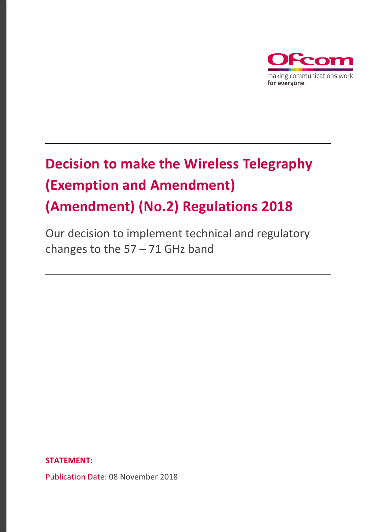

# **Decision to make the Wireless Telegraphy (Exemption and Amendment) (Amendment) (No.2) Regulations 2018**

Our decision to implement technical and regulatory changes to the  $57 - 71$  GHz band

**STATEMENT:**

Publication Date: 08 November 2018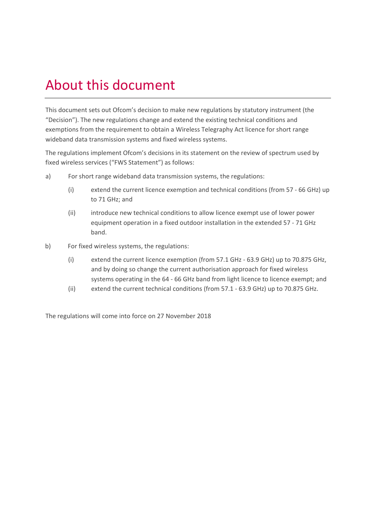# About this document

This document sets out Ofcom's decision to make new regulations by statutory instrument (the "Decision"). The new regulations change and extend the existing technical conditions and exemptions from the requirement to obtain a Wireless Telegraphy Act licence for short range wideband data transmission systems and fixed wireless systems.

The regulations implement Ofcom's decisions in its statement on the review of spectrum used by fixed wireless services ("FWS Statement") as follows:

- a) For short range wideband data transmission systems, the regulations:
	- (i) extend the current licence exemption and technical conditions (from 57 66 GHz) up to 71 GHz; and
	- (ii) introduce new technical conditions to allow licence exempt use of lower power equipment operation in a fixed outdoor installation in the extended 57 - 71 GHz band.
- b) For fixed wireless systems, the regulations:
	- (i) extend the current licence exemption (from 57.1 GHz 63.9 GHz) up to 70.875 GHz, and by doing so change the current authorisation approach for fixed wireless systems operating in the 64 - 66 GHz band from light licence to licence exempt; and
	- (ii) extend the current technical conditions (from 57.1 63.9 GHz) up to 70.875 GHz.

The regulations will come into force on 27 November 2018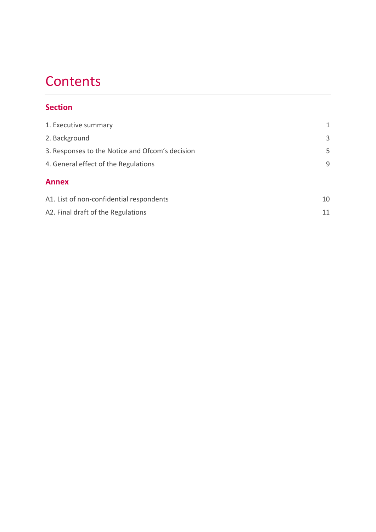# **Contents**

## **Section**

| 1. Executive summary                            | 1  |
|-------------------------------------------------|----|
| 2. Background                                   | 3  |
| 3. Responses to the Notice and Ofcom's decision | 5  |
| 4. General effect of the Regulations            | 9  |
| <b>Annex</b>                                    |    |
| A1. List of non-confidential respondents        | 10 |
| A2. Final draft of the Regulations              | 11 |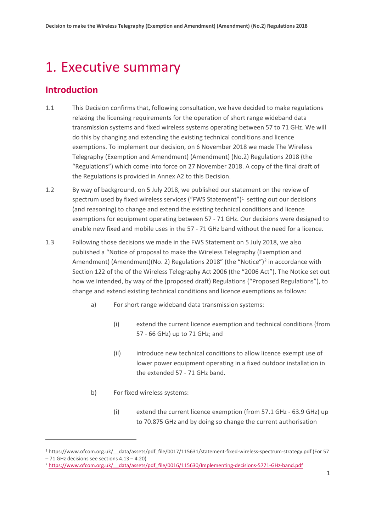## <span id="page-3-0"></span>1. Executive summary

## **Introduction**

<u>.</u>

- 1.1 This Decision confirms that, following consultation, we have decided to make regulations relaxing the licensing requirements for the operation of short range wideband data transmission systems and fixed wireless systems operating between 57 to 71 GHz. We will do this by changing and extending the existing technical conditions and licence exemptions. To implement our decision, on 6 November 2018 we made The Wireless Telegraphy (Exemption and Amendment) (Amendment) (No.2) Regulations 2018 (the "Regulations") which come into force on 27 November 2018. A copy of the final draft of the Regulations is provided in Annex A2 to this Decision.
- 1.2 By way of background, on 5 July 2018, we published our statement on the review of spectrum used by fixed wireless services ("FWS Statement")<sup>[1](#page-3-1)</sup> setting out our decisions (and reasoning) to change and extend the existing technical conditions and licence exemptions for equipment operating between 57 - 71 GHz. Our decisions were designed to enable new fixed and mobile uses in the 57 - 71 GHz band without the need for a licence.
- 1.3 Following those decisions we made in the FWS Statement on 5 July 2018, we also published a "Notice of proposal to make the Wireless Telegraphy (Exemption and Amendment) (Amendment)(No. [2](#page-3-2)) Regulations 2018" (the "Notice")<sup>2</sup> in accordance with Section 122 of the of the Wireless Telegraphy Act 2006 (the "2006 Act"). The Notice set out how we intended, by way of the (proposed draft) Regulations ("Proposed Regulations"), to change and extend existing technical conditions and licence exemptions as follows:
	- a) For short range wideband data transmission systems:
		- (i) extend the current licence exemption and technical conditions (from 57 - 66 GHz) up to 71 GHz; and
		- (ii) introduce new technical conditions to allow licence exempt use of lower power equipment operating in a fixed outdoor installation in the extended 57 - 71 GHz band.
	- b) For fixed wireless systems:
		- (i) extend the current licence exemption (from 57.1 GHz 63.9 GHz) up to 70.875 GHz and by doing so change the current authorisation

<span id="page-3-1"></span><sup>&</sup>lt;sup>1</sup> https://www.ofcom.org.uk/ data/assets/pdf file/0017/115631/statement-fixed-wireless-spectrum-strategy.pdf (For 57 – 71 GHz decisions see sections 4.13 – 4.20)

<span id="page-3-2"></span><sup>&</sup>lt;sup>2</sup> https://www.ofcom.org.uk/ data/assets/pdf\_file/0016/115630/Implementing-decisions-5771-GHz-band.pdf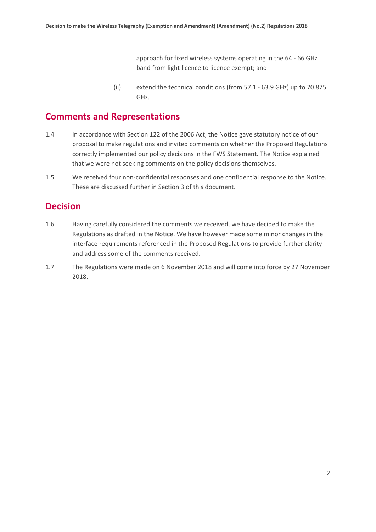approach for fixed wireless systems operating in the 64 - 66 GHz band from light licence to licence exempt; and

(ii) extend the technical conditions (from 57.1 - 63.9 GHz) up to 70.875 GHz.

## **Comments and Representations**

- 1.4 In accordance with Section 122 of the 2006 Act, the Notice gave statutory notice of our proposal to make regulations and invited comments on whether the Proposed Regulations correctly implemented our policy decisions in the FWS Statement. The Notice explained that we were not seeking comments on the policy decisions themselves.
- 1.5 We received four non-confidential responses and one confidential response to the Notice. These are discussed further in Section 3 of this document.

### **Decision**

- 1.6 Having carefully considered the comments we received, we have decided to make the Regulations as drafted in the Notice. We have however made some minor changes in the interface requirements referenced in the Proposed Regulations to provide further clarity and address some of the comments received.
- 1.7 The Regulations were made on 6 November 2018 and will come into force by 27 November 2018.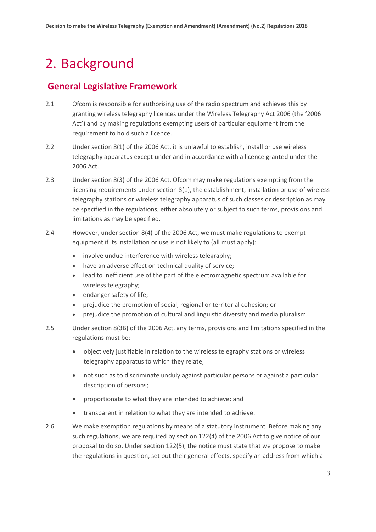# <span id="page-5-0"></span>2. Background

## **General Legislative Framework**

- 2.1 Ofcom is responsible for authorising use of the radio spectrum and achieves this by granting wireless telegraphy licences under the Wireless Telegraphy Act 2006 (the '2006 Act') and by making regulations exempting users of particular equipment from the requirement to hold such a licence.
- 2.2 Under section 8(1) of the 2006 Act, it is unlawful to establish, install or use wireless telegraphy apparatus except under and in accordance with a licence granted under the 2006 Act.
- 2.3 Under section 8(3) of the 2006 Act, Ofcom may make regulations exempting from the licensing requirements under section 8(1), the establishment, installation or use of wireless telegraphy stations or wireless telegraphy apparatus of such classes or description as may be specified in the regulations, either absolutely or subject to such terms, provisions and limitations as may be specified.
- 2.4 However, under section 8(4) of the 2006 Act, we must make regulations to exempt equipment if its installation or use is not likely to (all must apply):
	- involve undue interference with wireless telegraphy;
	- have an adverse effect on technical quality of service;
	- lead to inefficient use of the part of the electromagnetic spectrum available for wireless telegraphy;
	- endanger safety of life;
	- prejudice the promotion of social, regional or territorial cohesion; or
	- prejudice the promotion of cultural and linguistic diversity and media pluralism.
- 2.5 Under section 8(3B) of the 2006 Act, any terms, provisions and limitations specified in the regulations must be:
	- objectively justifiable in relation to the wireless telegraphy stations or wireless telegraphy apparatus to which they relate;
	- not such as to discriminate unduly against particular persons or against a particular description of persons;
	- proportionate to what they are intended to achieve; and
	- transparent in relation to what they are intended to achieve.
- 2.6 We make exemption regulations by means of a statutory instrument. Before making any such regulations, we are required by section 122(4) of the 2006 Act to give notice of our proposal to do so. Under section 122(5), the notice must state that we propose to make the regulations in question, set out their general effects, specify an address from which a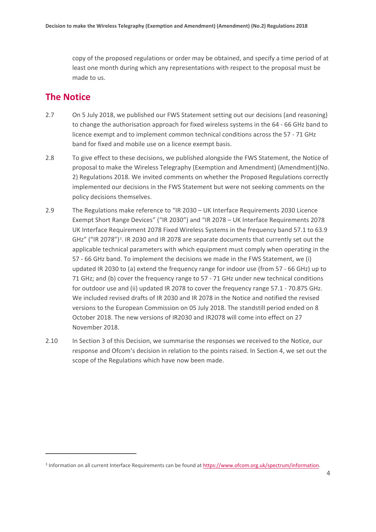copy of the proposed regulations or order may be obtained, and specify a time period of at least one month during which any representations with respect to the proposal must be made to us.

## **The Notice**

- 2.7 On 5 July 2018, we published our FWS Statement setting out our decisions (and reasoning) to change the authorisation approach for fixed wireless systems in the 64 - 66 GHz band to licence exempt and to implement common technical conditions across the 57 - 71 GHz band for fixed and mobile use on a licence exempt basis.
- 2.8 To give effect to these decisions, we published alongside the FWS Statement, the Notice of proposal to make the Wireless Telegraphy (Exemption and Amendment) (Amendment)(No. 2) Regulations 2018. We invited comments on whether the Proposed Regulations correctly implemented our decisions in the FWS Statement but were not seeking comments on the policy decisions themselves.
- 2.9 The Regulations make reference to "IR 2030 UK Interface Requirements 2030 Licence Exempt Short Range Devices" ("IR 2030") and "IR 2078 – UK Interface Requirements 2078 UK Interface Requirement 2078 Fixed Wireless Systems in the frequency band 57.1 to 63.9 GHz" ("IR 2078")<sup>3</sup>. IR 2030 and IR 2078 are separate documents that currently set out the applicable technical parameters with which equipment must comply when operating in the 57 - 66 GHz band. To implement the decisions we made in the FWS Statement, we (i) updated IR 2030 to (a) extend the frequency range for indoor use (from 57 - 66 GHz) up to 71 GHz; and (b) cover the frequency range to 57 - 71 GHz under new technical conditions for outdoor use and (ii) updated IR 2078 to cover the frequency range 57.1 - 70.875 GHz. We included revised drafts of IR 2030 and IR 2078 in the Notice and notified the revised versions to the European Commission on 05 July 2018. The standstill period ended on 8 October 2018. The new versions of IR2030 and IR2078 will come into effect on 27 November 2018.
- 2.10 In Section 3 of this Decision, we summarise the responses we received to the Notice, our response and Ofcom's decision in relation to the points raised. In Section 4, we set out the scope of the Regulations which have now been made.

<span id="page-6-0"></span><sup>&</sup>lt;sup>3</sup> Information on all current Interface Requirements can be found a[t https://www.ofcom.org.uk/spectrum/information.](https://www.ofcom.org.uk/spectrum/information)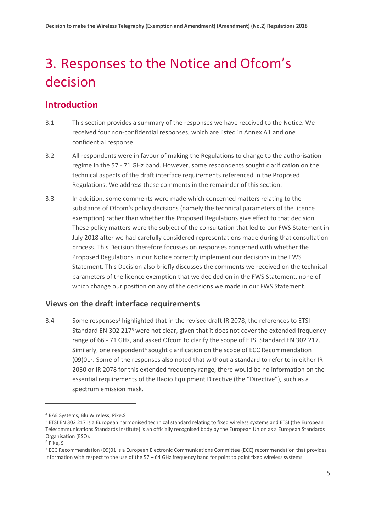# <span id="page-7-0"></span>3. Responses to the Notice and Ofcom's decision

## **Introduction**

- 3.1 This section provides a summary of the responses we have received to the Notice. We received four non-confidential responses, which are listed in Annex A1 and one confidential response.
- 3.2 All respondents were in favour of making the Regulations to change to the authorisation regime in the 57 - 71 GHz band. However, some respondents sought clarification on the technical aspects of the draft interface requirements referenced in the Proposed Regulations. We address these comments in the remainder of this section.
- 3.3 In addition, some comments were made which concerned matters relating to the substance of Ofcom's policy decisions (namely the technical parameters of the licence exemption) rather than whether the Proposed Regulations give effect to that decision. These policy matters were the subject of the consultation that led to our FWS Statement in July 2018 after we had carefully considered representations made during that consultation process. This Decision therefore focusses on responses concerned with whether the Proposed Regulations in our Notice correctly implement our decisions in the FWS Statement. This Decision also briefly discusses the comments we received on the technical parameters of the licence exemption that we decided on in the FWS Statement, none of which change our position on any of the decisions we made in our FWS Statement.

#### **Views on the draft interface requirements**

3.[4](#page-7-1) Some responses<sup>4</sup> highlighted that in the revised draft IR 2078, the references to ETSI Standard EN 302 217<sup>[5](#page-7-2)</sup> were not clear, given that it does not cover the extended frequency range of 66 - 71 GHz, and asked Ofcom to clarify the scope of ETSI Standard EN 302 217. Similarly, one respondent<sup>[6](#page-7-3)</sup> sought clarification on the scope of ECC Recommendation (09)01[7](#page-7-4). Some of the responses also noted that without a standard to refer to in either IR 2030 or IR 2078 for this extended frequency range, there would be no information on the essential requirements of the Radio Equipment Directive (the "Directive"), such as a spectrum emission mask.

<u>.</u>

<span id="page-7-1"></span><sup>4</sup> BAE Systems; Blu Wireless; Pike,S

<span id="page-7-2"></span><sup>5</sup> ETSI EN 302 217 is a European harmonised technical standard relating to fixed wireless systems and ETSI (the European Telecommunications Standards Institute) is an officially recognised body by the European Union as a European Standards Organisation (ESO).

<span id="page-7-3"></span><sup>6</sup> Pike, S

<span id="page-7-4"></span><sup>7</sup> ECC Recommendation (09)01 is a European Electronic Communications Committee (ECC) recommendation that provides information with respect to the use of the 57 – 64 GHz frequency band for point to point fixed wireless systems.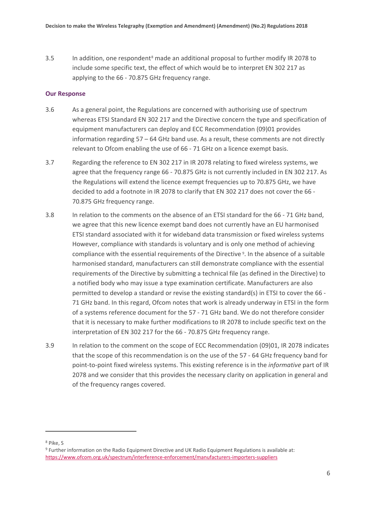3.5 In addition, one respondent[8](#page-8-0) made an additional proposal to further modify IR 2078 to include some specific text, the effect of which would be to interpret EN 302 217 as applying to the 66 - 70.875 GHz frequency range.

#### **Our Response**

- 3.6 As a general point, the Regulations are concerned with authorising use of spectrum whereas ETSI Standard EN 302 217 and the Directive concern the type and specification of equipment manufacturers can deploy and ECC Recommendation (09)01 provides information regarding 57 – 64 GHz band use. As a result, these comments are not directly relevant to Ofcom enabling the use of 66 - 71 GHz on a licence exempt basis.
- 3.7 Regarding the reference to EN 302 217 in IR 2078 relating to fixed wireless systems, we agree that the frequency range 66 - 70.875 GHz is not currently included in EN 302 217. As the Regulations will extend the licence exempt frequencies up to 70.875 GHz, we have decided to add a footnote in IR 2078 to clarify that EN 302 217 does not cover the 66 - 70.875 GHz frequency range.
- 3.8 In relation to the comments on the absence of an ETSI standard for the 66 71 GHz band, we agree that this new licence exempt band does not currently have an EU harmonised ETSI standard associated with it for wideband data transmission or fixed wireless systems However, compliance with standards is voluntary and is only one method of achieving compliance with the essential requirements of the Directive [9.](#page-8-1) In the absence of a suitable harmonised standard, manufacturers can still demonstrate compliance with the essential requirements of the Directive by submitting a technical file (as defined in the Directive) to a notified body who may issue a type examination certificate. Manufacturers are also permitted to develop a standard or revise the existing standard(s) in ETSI to cover the 66 - 71 GHz band. In this regard, Ofcom notes that work is already underway in ETSI in the form of a systems reference document for the 57 - 71 GHz band. We do not therefore consider that it is necessary to make further modifications to IR 2078 to include specific text on the interpretation of EN 302 217 for the 66 - 70.875 GHz frequency range.
- 3.9 In relation to the comment on the scope of ECC Recommendation (09)01, IR 2078 indicates that the scope of this recommendation is on the use of the 57 - 64 GHz frequency band for point-to-point fixed wireless systems. This existing reference is in the *informative* part of IR 2078 and we consider that this provides the necessary clarity on application in general and of the frequency ranges covered.

<span id="page-8-0"></span><sup>8</sup> Pike, S

<span id="page-8-1"></span><sup>9</sup> Further information on the Radio Equipment Directive and UK Radio Equipment Regulations is available at: <https://www.ofcom.org.uk/spectrum/interference-enforcement/manufacturers-importers-suppliers>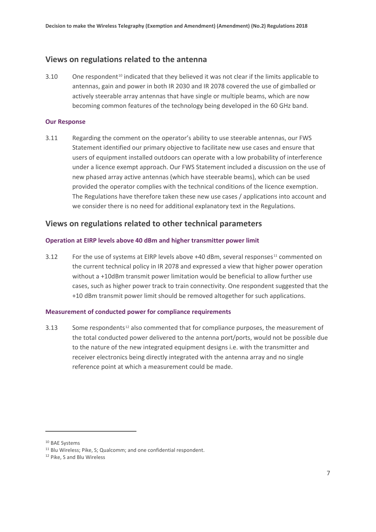#### **Views on regulations related to the antenna**

3.[10](#page-9-0) One respondent<sup>10</sup> indicated that they believed it was not clear if the limits applicable to antennas, gain and power in both IR 2030 and IR 2078 covered the use of gimballed or actively steerable array antennas that have single or multiple beams, which are now becoming common features of the technology being developed in the 60 GHz band.

#### **Our Response**

3.11 Regarding the comment on the operator's ability to use steerable antennas, our FWS Statement identified our primary objective to facilitate new use cases and ensure that users of equipment installed outdoors can operate with a low probability of interference under a licence exempt approach. Our FWS Statement included a discussion on the use of new phased array active antennas (which have steerable beams), which can be used provided the operator complies with the technical conditions of the licence exemption. The Regulations have therefore taken these new use cases / applications into account and we consider there is no need for additional explanatory text in the Regulations.

#### **Views on regulations related to other technical parameters**

#### **Operation at EIRP levels above 40 dBm and higher transmitter power limit**

3.12 For the use of systems at EIRP levels above  $+40$  dBm, several responses<sup>[11](#page-9-1)</sup> commented on the current technical policy in IR 2078 and expressed a view that higher power operation without a +10dBm transmit power limitation would be beneficial to allow further use cases, such as higher power track to train connectivity. One respondent suggested that the +10 dBm transmit power limit should be removed altogether for such applications.

#### **Measurement of conducted power for compliance requirements**

3.13 Some respondents<sup>[12](#page-9-2)</sup> also commented that for compliance purposes, the measurement of the total conducted power delivered to the antenna port/ports, would not be possible due to the nature of the new integrated equipment designs i.e. with the transmitter and receiver electronics being directly integrated with the antenna array and no single reference point at which a measurement could be made.

<span id="page-9-0"></span><sup>10</sup> BAE Systems

<span id="page-9-1"></span><sup>&</sup>lt;sup>11</sup> Blu Wireless; Pike, S; Qualcomm; and one confidential respondent.

<span id="page-9-2"></span><sup>12</sup> Pike, S and Blu Wireless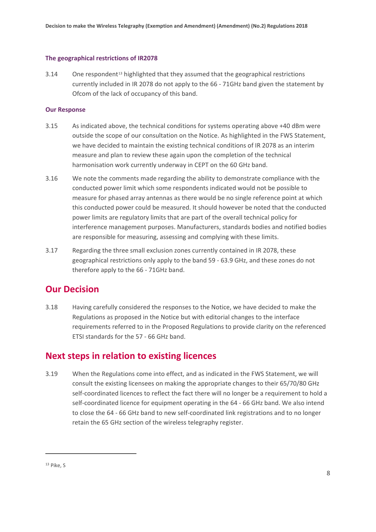#### **The geographical restrictions of IR2078**

 $3.14$  One respondent<sup>[13](#page-10-0)</sup> highlighted that they assumed that the geographical restrictions currently included in IR 2078 do not apply to the 66 - 71GHz band given the statement by Ofcom of the lack of occupancy of this band.

#### **Our Response**

- 3.15 As indicated above, the technical conditions for systems operating above +40 dBm were outside the scope of our consultation on the Notice. As highlighted in the FWS Statement, we have decided to maintain the existing technical conditions of IR 2078 as an interim measure and plan to review these again upon the completion of the technical harmonisation work currently underway in CEPT on the 60 GHz band.
- 3.16 We note the comments made regarding the ability to demonstrate compliance with the conducted power limit which some respondents indicated would not be possible to measure for phased array antennas as there would be no single reference point at which this conducted power could be measured. It should however be noted that the conducted power limits are regulatory limits that are part of the overall technical policy for interference management purposes. Manufacturers, standards bodies and notified bodies are responsible for measuring, assessing and complying with these limits.
- 3.17 Regarding the three small exclusion zones currently contained in IR 2078, these geographical restrictions only apply to the band 59 - 63.9 GHz, and these zones do not therefore apply to the 66 - 71GHz band.

## **Our Decision**

3.18 Having carefully considered the responses to the Notice, we have decided to make the Regulations as proposed in the Notice but with editorial changes to the interface requirements referred to in the Proposed Regulations to provide clarity on the referenced ETSI standards for the 57 - 66 GHz band.

## **Next steps in relation to existing licences**

3.19 When the Regulations come into effect, and as indicated in the FWS Statement, we will consult the existing licensees on making the appropriate changes to their 65/70/80 GHz self-coordinated licences to reflect the fact there will no longer be a requirement to hold a self-coordinated licence for equipment operating in the 64 - 66 GHz band. We also intend to close the 64 - 66 GHz band to new self-coordinated link registrations and to no longer retain the 65 GHz section of the wireless telegraphy register.

<span id="page-10-0"></span><sup>13</sup> Pike, S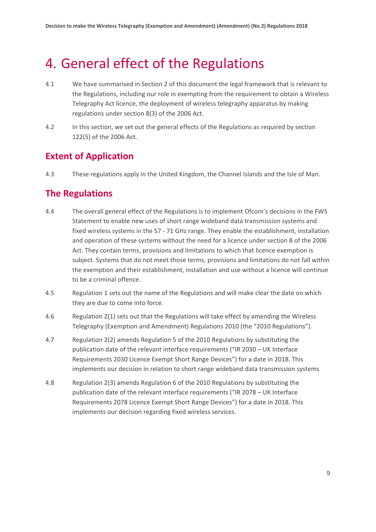# <span id="page-11-0"></span>4. General effect of the Regulations

- 4.1 We have summarised in Section 2 of this document the legal framework that is relevant to the Regulations, including our role in exempting from the requirement to obtain a Wireless Telegraphy Act licence, the deployment of wireless telegraphy apparatus by making regulations under section 8(3) of the 2006 Act.
- 4.2 In this section, we set out the general effects of the Regulations as required by section 122(5) of the 2006 Act.

## **Extent of Application**

4.3 These regulations apply in the United Kingdom, the Channel Islands and the Isle of Man.

## **The Regulations**

- 4.4 The overall general effect of the Regulations is to implement Ofcom's decisions in the FWS Statement to enable new uses of short range wideband data transmission systems and fixed wireless systems in the 57 - 71 GHz range. They enable the establishment, installation and operation of these systems without the need for a licence under section 8 of the 2006 Act. They contain terms, provisions and limitations to which that licence exemption is subject. Systems that do not meet those terms, provisions and limitations do not fall within the exemption and their establishment, installation and use without a licence will continue to be a criminal offence.
- 4.5 Regulation 1 sets out the name of the Regulations and will make clear the date on which they are due to come into force.
- 4.6 Regulation 2(1) sets out that the Regulations will take effect by amending the Wireless Telegraphy (Exemption and Amendment) Regulations 2010 (the "2010 Regulations").
- 4.7 Regulation 2(2) amends Regulation 5 of the 2010 Regulations by substituting the publication date of the relevant interface requirements ("IR 2030 – UK Interface Requirements 2030 Licence Exempt Short Range Devices") for a date in 2018. This implements our decision in relation to short range wideband data transmission systems
- 4.8 Regulation 2(3) amends Regulation 6 of the 2010 Regulations by substituting the publication date of the relevant interface requirements ("IR 2078 – UK Interface Requirements 2078 Licence Exempt Short Range Devices") for a date in 2018. This implements our decision regarding fixed wireless services.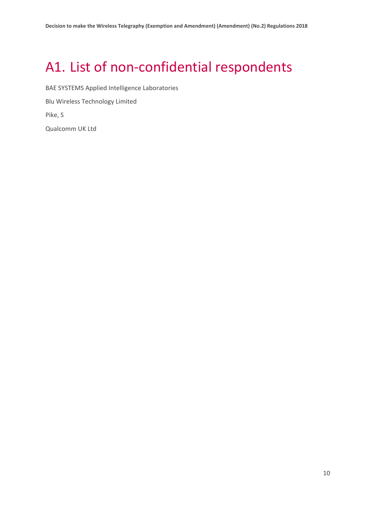# <span id="page-12-0"></span>A1. List of non-confidential respondents

BAE SYSTEMS Applied Intelligence Laboratories Blu Wireless Technology Limited Pike, S Qualcomm UK Ltd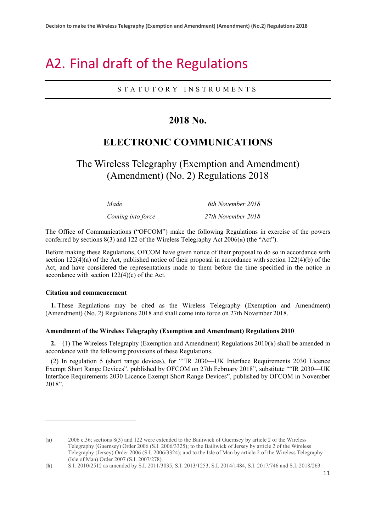# <span id="page-13-0"></span>A2. Final draft of the Regulations

#### STATUTORY INSTRUMENT S

## **2018 No.**

## **ELECTRONIC COMMUNICATIONS**

## The Wireless Telegraphy (Exemption and Amendment) (Amendment) (No. 2) Regulations 2018

| Made              | 6th November 2018  |
|-------------------|--------------------|
| Coming into force | 27th November 2018 |

The Office of Communications ("OFCOM") make the following Regulations in exercise of the powers conferred by sections 8(3) and 122 of the Wireless Telegraphy Act 2006(**[a](#page-13-1)**) (the "Act").

Before making these Regulations, OFCOM have given notice of their proposal to do so in accordance with section 122(4)(a) of the Act, published notice of their proposal in accordance with section 122(4)(b) of the Act, and have considered the representations made to them before the time specified in the notice in accordance with section 122(4)(c) of the Act.

#### **Citation and commencement**

<u>.</u>

**1.** These Regulations may be cited as the Wireless Telegraphy (Exemption and Amendment) (Amendment) (No. 2) Regulations 2018 and shall come into force on 27th November 2018.

#### **Amendment of the Wireless Telegraphy (Exemption and Amendment) Regulations 2010**

**2.**—(1) The Wireless Telegraphy (Exemption and Amendment) Regulations 2010(**[b](#page-13-2)**) shall be amended in accordance with the following provisions of these Regulations.

(2) In regulation 5 (short range devices), for ""IR 2030—UK Interface Requirements 2030 Licence Exempt Short Range Devices", published by OFCOM on 27th February 2018", substitute ""IR 2030—UK Interface Requirements 2030 Licence Exempt Short Range Devices", published by OFCOM in November 2018".

<span id="page-13-1"></span><sup>(</sup>**a**) 2006 c.36; sections 8(3) and 122 were extended to the Bailiwick of Guernsey by article 2 of the Wireless Telegraphy (Guernsey) Order 2006 (S.I. 2006/3325); to the Bailiwick of Jersey by article 2 of the Wireless Telegraphy (Jersey) Order 2006 (S.I. 2006/3324); and to the Isle of Man by article 2 of the Wireless Telegraphy (Isle of Man) Order 2007 (S.I. 2007/278).

<span id="page-13-2"></span><sup>(</sup>**b**) S.I. 2010/2512 as amended by S.I. 2011/3035, S.I. 2013/1253, S.I. 2014/1484, S.I. 2017/746 and S.I. 2018/263.